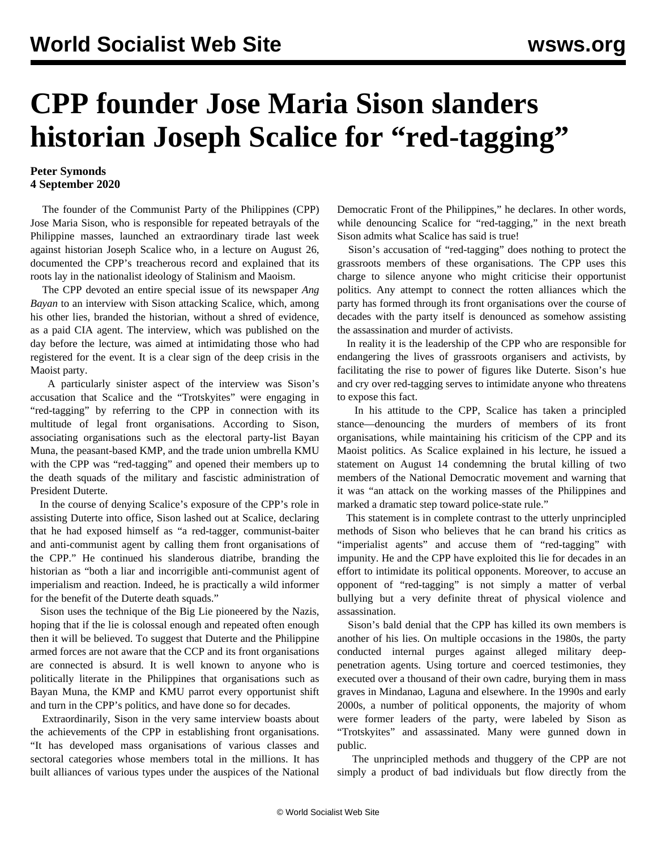## **CPP founder Jose Maria Sison slanders historian Joseph Scalice for "red-tagging"**

## **Peter Symonds 4 September 2020**

 The founder of the Communist Party of the Philippines (CPP) Jose Maria Sison, who is responsible for repeated betrayals of the Philippine masses, launched an extraordinary tirade last week against historian Joseph Scalice who, in a [lecture](/en/articles/2020/09/01/lect-s01.html) on August 26, documented the CPP's treacherous record and explained that its roots lay in the nationalist ideology of Stalinism and Maoism.

 The CPP devoted an entire special issue of its newspaper *Ang Bayan* to an interview with Sison attacking Scalice, which, among his other lies, branded the historian, without a shred of evidence, as a paid CIA agent. The interview, which was published on the day before the lecture, was aimed at intimidating those who had registered for the event. It is a clear sign of the deep crisis in the Maoist party.

 A particularly sinister aspect of the interview was Sison's accusation that Scalice and the "Trotskyites" were engaging in "red-tagging" by referring to the CPP in connection with its multitude of legal front organisations. According to Sison, associating organisations such as the electoral party-list Bayan Muna, the peasant-based KMP, and the trade union umbrella KMU with the CPP was "red-tagging" and opened their members up to the death squads of the military and fascistic administration of President Duterte.

 In the course of denying Scalice's exposure of the CPP's role in assisting Duterte into office, Sison lashed out at Scalice, declaring that he had exposed himself as "a red-tagger, communist-baiter and anti-communist agent by calling them front organisations of the CPP." He continued his slanderous diatribe, branding the historian as "both a liar and incorrigible anti-communist agent of imperialism and reaction. Indeed, he is practically a wild informer for the benefit of the Duterte death squads."

 Sison uses the technique of the Big Lie pioneered by the Nazis, hoping that if the lie is colossal enough and repeated often enough then it will be believed. To suggest that Duterte and the Philippine armed forces are not aware that the CCP and its front organisations are connected is absurd. It is well known to anyone who is politically literate in the Philippines that organisations such as Bayan Muna, the KMP and KMU parrot every opportunist shift and turn in the CPP's politics, and have done so for decades.

 Extraordinarily, Sison in the very same interview boasts about the achievements of the CPP in establishing front organisations. "It has developed mass organisations of various classes and sectoral categories whose members total in the millions. It has built alliances of various types under the auspices of the National Democratic Front of the Philippines," he declares. In other words, while denouncing Scalice for "red-tagging," in the next breath Sison admits what Scalice has said is true!

 Sison's accusation of "red-tagging" does nothing to protect the grassroots members of these organisations. The CPP uses this charge to silence anyone who might criticise their opportunist politics. Any attempt to connect the rotten alliances which the party has formed through its front organisations over the course of decades with the party itself is denounced as somehow assisting the assassination and murder of activists.

 In reality it is the leadership of the CPP who are responsible for endangering the lives of grassroots organisers and activists, by facilitating the rise to power of figures like Duterte. Sison's hue and cry over red-tagging serves to intimidate anyone who threatens to expose this fact.

 In his attitude to the CPP, Scalice has taken a principled stance—denouncing the murders of members of its front organisations, while maintaining his criticism of the CPP and its Maoist politics. As Scalice explained in his lecture, he issued a statement on August 14 condemning the brutal killing of two members of the National Democratic movement and warning that it was "an attack on the working masses of the Philippines and marked a dramatic step toward police-state rule."

 This statement is in complete contrast to the utterly unprincipled methods of Sison who believes that he can brand his critics as "imperialist agents" and accuse them of "red-tagging" with impunity. He and the CPP have exploited this lie for decades in an effort to intimidate its political opponents. Moreover, to accuse an opponent of "red-tagging" is not simply a matter of verbal bullying but a very definite threat of physical violence and assassination.

 Sison's bald denial that the CPP has killed its own members is another of his lies. On multiple occasions in the 1980s, the party conducted internal purges against alleged military deeppenetration agents. Using torture and coerced testimonies, they executed over a thousand of their own cadre, burying them in mass graves in Mindanao, Laguna and elsewhere. In the 1990s and early 2000s, a number of political opponents, the majority of whom were former leaders of the party, were labeled by Sison as "Trotskyites" and assassinated. Many were gunned down in public.

 The unprincipled methods and thuggery of the CPP are not simply a product of bad individuals but flow directly from the